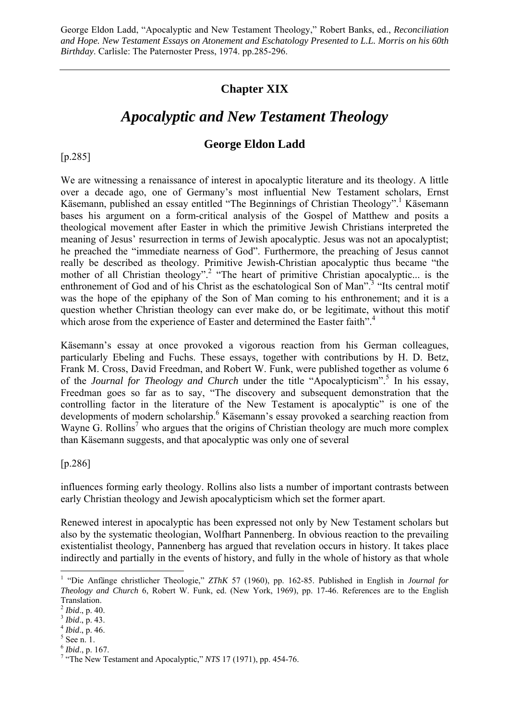## **Chapter XIX**

# *Apocalyptic and New Testament Theology*

## **George Eldon Ladd**

[p.285]

We are witnessing a renaissance of interest in apocalyptic literature and its theology. A little over a decade ago, one of Germany's most influential New Testament scholars, Ernst Käsemann, published an essay entitled "The Beginnings of Christian Theology".<sup>1</sup> Käsemann bases his argument on a form-critical analysis of the Gospel of Matthew and posits a theological movement after Easter in which the primitive Jewish Christians interpreted the meaning of Jesus' resurrection in terms of Jewish apocalyptic. Jesus was not an apocalyptist; he preached the "immediate nearness of God". Furthermore, the preaching of Jesus cannot really be described as theology. Primitive Jewish-Christian apocalyptic thus became "the mother of all Christian theology".<sup>2</sup> "The heart of primitive Christian apocalyptic... is the enthronement of God and of his Christ as the eschatological Son of Man".<sup>3</sup> "Its central motif was the hope of the epiphany of the Son of Man coming to his enthronement; and it is a question whether Christian theology can ever make do, or be legitimate, without this motif which arose from the experience of Easter and determined the Easter faith".<sup>4</sup>

Käsemann's essay at once provoked a vigorous reaction from his German colleagues, particularly Ebeling and Fuchs. These essays, together with contributions by H. D. Betz, Frank M. Cross, David Freedman, and Robert W. Funk, were published together as volume 6 of the *Journal for Theology and Church* under the title "Apocalypticism".<sup>5</sup> In his essay, Freedman goes so far as to say, "The discovery and subsequent demonstration that the controlling factor in the literature of the New Testament is apocalyptic" is one of the developments of modern scholarship.<sup>6</sup> Käsemann's essay provoked a searching reaction from Wayne G. Rollins<sup>7</sup> who argues that the origins of Christian theology are much more complex than Käsemann suggests, and that apocalyptic was only one of several

#### [p.286]

influences forming early theology. Rollins also lists a number of important contrasts between early Christian theology and Jewish apocalypticism which set the former apart.

Renewed interest in apocalyptic has been expressed not only by New Testament scholars but also by the systematic theologian, Wolfhart Pannenberg. In obvious reaction to the prevailing existentialist theology, Pannenberg has argued that revelation occurs in history. It takes place indirectly and partially in the events of history, and fully in the whole of history as that whole

- $5$  See n. 1.
- $<sup>6</sup> Ibid., p. 167.$ </sup>

<sup>&</sup>lt;sup>1</sup> "Die Anfänge christlicher Theologie," *ZThK* 57 (1960), pp. 162-85. Published in English in *Journal for Theology and Church* 6, Robert W. Funk, ed. (New York, 1969), pp. 17-46. References are to the English Translation.

<sup>&</sup>lt;sup>2</sup> *Ibid.*, p. 40.<br><sup>3</sup> *Ibid.*, p. 43.<br><sup>4</sup> *Ibid.*, p. 46.

<sup>&</sup>lt;sup>7</sup> "The New Testament and Apocalyptic," *NTS* 17 (1971), pp. 454-76.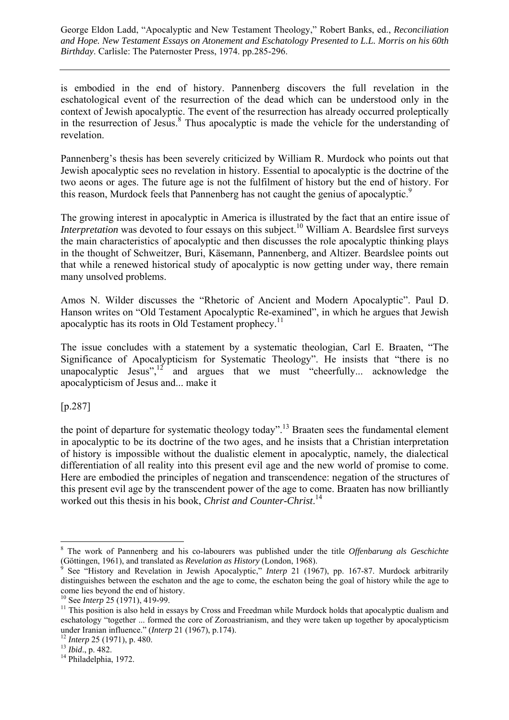is embodied in the end of history. Pannenberg discovers the full revelation in the eschatological event of the resurrection of the dead which can be understood only in the context of Jewish apocalyptic. The event of the resurrection has already occurred proleptically in the resurrection of Jesus.<sup>8</sup> Thus apocalyptic is made the vehicle for the understanding of revelation.

Pannenberg's thesis has been severely criticized by William R. Murdock who points out that Jewish apocalyptic sees no revelation in history. Essential to apocalyptic is the doctrine of the two aeons or ages. The future age is not the fulfilment of history but the end of history. For this reason, Murdock feels that Pannenberg has not caught the genius of apocalyptic.<sup>9</sup>

The growing interest in apocalyptic in America is illustrated by the fact that an entire issue of *Interpretation* was devoted to four essays on this subject.<sup>10</sup> William A. Beardslee first surveys the main characteristics of apocalyptic and then discusses the role apocalyptic thinking plays in the thought of Schweitzer, Buri, Käsemann, Pannenberg, and Altizer. Beardslee points out that while a renewed historical study of apocalyptic is now getting under way, there remain many unsolved problems.

Amos N. Wilder discusses the "Rhetoric of Ancient and Modern Apocalyptic". Paul D. Hanson writes on "Old Testament Apocalyptic Re-examined", in which he argues that Jewish apocalyptic has its roots in Old Testament prophecy.<sup>11</sup>

The issue concludes with a statement by a systematic theologian, Carl E. Braaten, "The Significance of Apocalypticism for Systematic Theology". He insists that "there is no unapocalyptic Jesus", $12 \text{ rad}$  argues that we must "cheerfully... acknowledge the apocalypticism of Jesus and... make it

[p.287]

 $\overline{a}$ 

the point of departure for systematic theology today".13 Braaten sees the fundamental element in apocalyptic to be its doctrine of the two ages, and he insists that a Christian interpretation of history is impossible without the dualistic element in apocalyptic, namely, the dialectical differentiation of all reality into this present evil age and the new world of promise to come. Here are embodied the principles of negation and transcendence: negation of the structures of this present evil age by the transcendent power of the age to come. Braaten has now brilliantly worked out this thesis in his book, *Christ and Counter-Christ*. 14

<sup>8</sup> The work of Pannenberg and his co-labourers was published under the title *Offenbarung als Geschichte*  (Göttingen, 1961), and translated as *Revelation as History* (London, 1968).

See "History and Revelation in Jewish Apocalyptic," *Interp* 21 (1967), pp. 167-87. Murdock arbitrarily distinguishes between the eschaton and the age to come, the eschaton being the goal of history while the age to come lies beyond the end of history.<br><sup>10</sup> See *Interp* 25 (1971), 419-99.

<sup>&</sup>lt;sup>11</sup> This position is also held in essays by Cross and Freedman while Murdock holds that apocalyptic dualism and eschatology "together ... formed the core of Zoroastrianism, and they were taken up together by apocalypticism under Iranian influence." (Interp 21 (1967), p.174).

<sup>&</sup>lt;sup>12</sup> *Interp* 25 (1971), p. 480.<br><sup>13</sup> *Ibid.*, p. 482.<br><sup>14</sup> Philadelphia, 1972.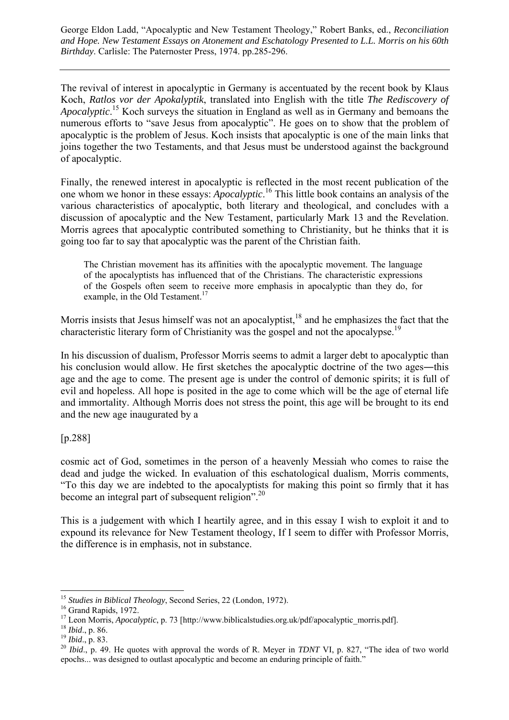The revival of interest in apocalyptic in Germany is accentuated by the recent book by Klaus Koch, *Ratlos vor der Apokalyptik*, translated into English with the title *The Rediscovery of Apocalyptic*. 15 Koch surveys the situation in England as well as in Germany and bemoans the numerous efforts to "save Jesus from apocalyptic". He goes on to show that the problem of apocalyptic is the problem of Jesus. Koch insists that apocalyptic is one of the main links that joins together the two Testaments, and that Jesus must be understood against the background of apocalyptic.

Finally, the renewed interest in apocalyptic is reflected in the most recent publication of the one whom we honor in these essays: *Apocalyptic*. 16 This little book contains an analysis of the various characteristics of apocalyptic, both literary and theological, and concludes with a discussion of apocalyptic and the New Testament, particularly Mark 13 and the Revelation. Morris agrees that apocalyptic contributed something to Christianity, but he thinks that it is going too far to say that apocalyptic was the parent of the Christian faith.

The Christian movement has its affinities with the apocalyptic movement. The language of the apocalyptists has influenced that of the Christians. The characteristic expressions of the Gospels often seem to receive more emphasis in apocalyptic than they do, for example, in the Old Testament.<sup>17</sup>

Morris insists that Jesus himself was not an apocalyptist,<sup>18</sup> and he emphasizes the fact that the characteristic literary form of Christianity was the gospel and not the apocalypse.<sup>19</sup>

In his discussion of dualism, Professor Morris seems to admit a larger debt to apocalyptic than his conclusion would allow. He first sketches the apocalyptic doctrine of the two ages—this age and the age to come. The present age is under the control of demonic spirits; it is full of evil and hopeless. All hope is posited in the age to come which will be the age of eternal life and immortality. Although Morris does not stress the point, this age will be brought to its end and the new age inaugurated by a

[p.288]

cosmic act of God, sometimes in the person of a heavenly Messiah who comes to raise the dead and judge the wicked. In evaluation of this eschatological dualism, Morris comments, "To this day we are indebted to the apocalyptists for making this point so firmly that it has become an integral part of subsequent religion".<sup>20</sup>

This is a judgement with which I heartily agree, and in this essay I wish to exploit it and to expound its relevance for New Testament theology, If I seem to differ with Professor Morris, the difference is in emphasis, not in substance.

 $\overline{a}$ <sup>15</sup> *Studies in Biblical Theology*, Second Series, 22 (London, 1972).<sup>16</sup> Grand Rapids, 1972.

<sup>&</sup>lt;sup>17</sup> Leon Morris, *Apocalyptic*, p. 73 [http://www.biblicalstudies.org.uk/pdf/apocalyptic\_morris.pdf].<br><sup>18</sup> *Ibid.*, p. 86.<br><sup>19</sup> *Ibid.*, p. 83.<br><sup>20</sup> *Ibid.*, p. 49. He quotes with approval the words of R. Meyer in *TDNT* 

epochs... was designed to outlast apocalyptic and become an enduring principle of faith."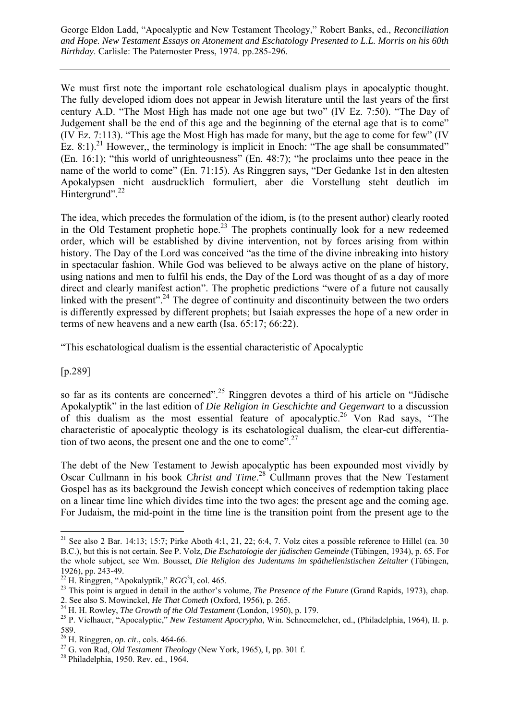We must first note the important role eschatological dualism plays in apocalyptic thought. The fully developed idiom does not appear in Jewish literature until the last years of the first century A.D. "The Most High has made not one age but two" (IV Ez. 7:50). "The Day of Judgement shall be the end of this age and the beginning of the eternal age that is to come" (IV Ez. 7:113). "This age the Most High has made for many, but the age to come for few" (IV Ez. 8:1).<sup>21</sup> However, the terminology is implicit in Enoch: "The age shall be consummated" (En. 16:1); "this world of unrighteousness" (En. 48:7); "he proclaims unto thee peace in the name of the world to come" (En. 71:15). As Ringgren says, "Der Gedanke 1st in den altesten Apokalypsen nicht ausdrucklich formuliert, aber die Vorstellung steht deutlich im Hintergrund". $^{22}$ 

The idea, which precedes the formulation of the idiom, is (to the present author) clearly rooted in the Old Testament prophetic hope.<sup>23</sup> The prophets continually look for a new redeemed order, which will be established by divine intervention, not by forces arising from within history. The Day of the Lord was conceived "as the time of the divine inbreaking into history in spectacular fashion. While God was believed to be always active on the plane of history, using nations and men to fulfil his ends, the Day of the Lord was thought of as a day of more direct and clearly manifest action". The prophetic predictions "were of a future not causally linked with the present".<sup>24</sup> The degree of continuity and discontinuity between the two orders is differently expressed by different prophets; but Isaiah expresses the hope of a new order in terms of new heavens and a new earth (Isa. 65:17; 66:22).

"This eschatological dualism is the essential characteristic of Apocalyptic

[p.289]

 $\overline{a}$ 

so far as its contents are concerned".<sup>25</sup> Ringgren devotes a third of his article on "Jüdische Apokalyptik" in the last edition of *Die Religion in Geschichte and Gegenwart* to a discussion of this dualism as the most essential feature of apocalyptic.<sup>26</sup> Von Rad says, "The characteristic of apocalyptic theology is its eschatological dualism, the clear-cut differentiation of two aeons, the present one and the one to come".<sup>27</sup>

The debt of the New Testament to Jewish apocalyptic has been expounded most vividly by Oscar Cullmann in his book *Christ and Time*. 28 Cullmann proves that the New Testament Gospel has as its background the Jewish concept which conceives of redemption taking place on a linear time line which divides time into the two ages: the present age and the coming age. For Judaism, the mid-point in the time line is the transition point from the present age to the

<sup>&</sup>lt;sup>21</sup> See also 2 Bar. 14:13; 15:7; Pirke Aboth 4:1, 21, 22; 6:4, 7. Volz cites a possible reference to Hillel (ca. 30) B.C.), but this is not certain. See P. Volz, *Die Eschatologie der jüdischen Gemeinde* (Tübingen, 1934), p. 65. For the whole subject, see Wm. Bousset, *Die Religion des Judentums im späthellenistischen Zeitalter* (Tübingen, 1926), pp. 243-49.

 $^{22}$  H. Ringgren, "Apokalyptik," *RGG*<sup>3</sup>I, col. 465.

<sup>&</sup>lt;sup>23</sup> This point is argued in detail in the author's volume, *The Presence of the Future* (Grand Rapids, 1973), chap.

<sup>2.</sup> See also S. Mowinckel, *He That Cometh* (Oxford, 1956), p. 265.<br><sup>24</sup> H. H. Rowley, *The Growth of the Old Testament* (London, 1950), p. 179.<br><sup>25</sup> P. Vielhauer, "Apocalyptic," *New Testament Apocrypha*, Win. Schneemelche 589.<br> $^{26}$  H. Ringgren, *op. cit.*, cols. 464-66.

<sup>&</sup>lt;sup>27</sup> G. von Rad, *Old Testament Theology* (New York, 1965), I, pp. 301 f. <sup>28</sup> Philadelphia, 1950. Rev. ed., 1964.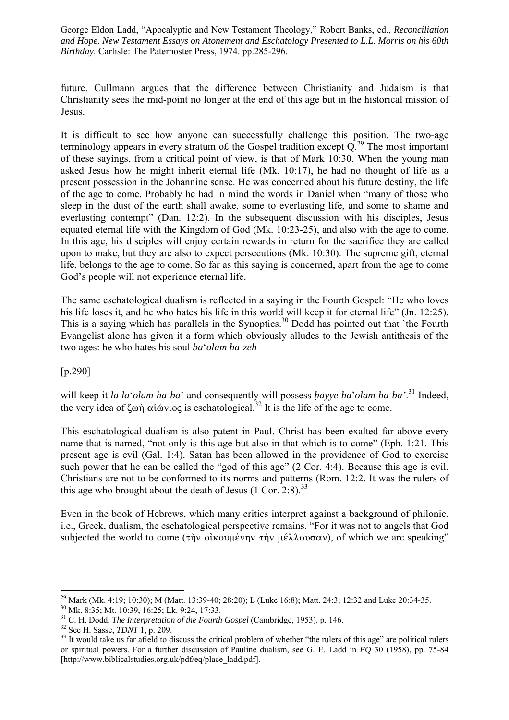future. Cullmann argues that the difference between Christianity and Judaism is that Christianity sees the mid-point no longer at the end of this age but in the historical mission of Jesus.

It is difficult to see how anyone can successfully challenge this position. The two-age terminology appears in every stratum of the Gospel tradition except  $O<sup>29</sup>$  The most important of these sayings, from a critical point of view, is that of Mark 10:30. When the young man asked Jesus how he might inherit eternal life (Mk. 10:17), he had no thought of life as a present possession in the Johannine sense. He was concerned about his future destiny, the life of the age to come. Probably he had in mind the words in Daniel when "many of those who sleep in the dust of the earth shall awake, some to everlasting life, and some to shame and everlasting contempt" (Dan. 12:2). In the subsequent discussion with his disciples, Jesus equated eternal life with the Kingdom of God (Mk. 10:23-25), and also with the age to come. In this age, his disciples will enjoy certain rewards in return for the sacrifice they are called upon to make, but they are also to expect persecutions (Mk. 10:30). The supreme gift, eternal life, belongs to the age to come. So far as this saying is concerned, apart from the age to come God's people will not experience eternal life.

The same eschatological dualism is reflected in a saying in the Fourth Gospel: "He who loves his life loses it, and he who hates his life in this world will keep it for eternal life" (Jn. 12:25). This is a saying which has parallels in the Synoptics.<sup>30</sup> Dodd has pointed out that `the Fourth Evangelist alone has given it a form which obviously alludes to the Jewish antithesis of the two ages: he who hates his soul *ba*'*olam ha-zeh*

[p.290]

will keep it *la la'olam ha-ba'* and consequently will possess *hayye ha'olam ha-ba'*.<sup>31</sup> Indeed, the very idea of  $\zeta$   $\omega$  $\eta$   $\alpha$   $\omega$   $\omega$  is eschatological.<sup>32</sup> It is the life of the age to come.

This eschatological dualism is also patent in Paul. Christ has been exalted far above every name that is named, "not only is this age but also in that which is to come" (Eph. 1:21. This present age is evil (Gal. 1:4). Satan has been allowed in the providence of God to exercise such power that he can be called the "god of this age" (2 Cor. 4:4). Because this age is evil, Christians are not to be conformed to its norms and patterns (Rom. 12:2. It was the rulers of this age who brought about the death of Jesus  $(1 \text{ Cor. } 2.8)$ .<sup>33</sup>

Even in the book of Hebrews, which many critics interpret against a background of philonic, i.e., Greek, dualism, the eschatological perspective remains. "For it was not to angels that God subjected the world to come  $(\tau \hat{\eta} v)$  oikov $\mu \hat{\epsilon} \lambda \hat{\lambda}$  must  $\mu \hat{\epsilon} \lambda \hat{\lambda}$  and  $\lambda$  of which we arc speaking"

 $\overline{a}$ <sup>29</sup> Mark (Mk. 4:19; 10:30); M (Matt. 13:39-40; 28:20); L (Luke 16:8); Matt. 24:3; 12:32 and Luke 20:34-35.

<sup>30</sup> Mk. 8:35; Mt. 10:39, 16:25; Lk. 9:24, 17:33.

<sup>&</sup>lt;sup>31</sup> C. H. Dodd, *The Interpretation of the Fourth Gospel* (Cambridge, 1953). p. 146.<br><sup>32</sup> See H. Sasse, *TDNT* 1, p. 209.<br><sup>33</sup> It would take us far afield to discuss the critical problem of whether "the rulers of this ag or spiritual powers. For a further discussion of Pauline dualism, see G. E. Ladd in *EQ* 30 (1958), pp. 75-84 [http://www.biblicalstudies.org.uk/pdf/eq/place\_ladd.pdf].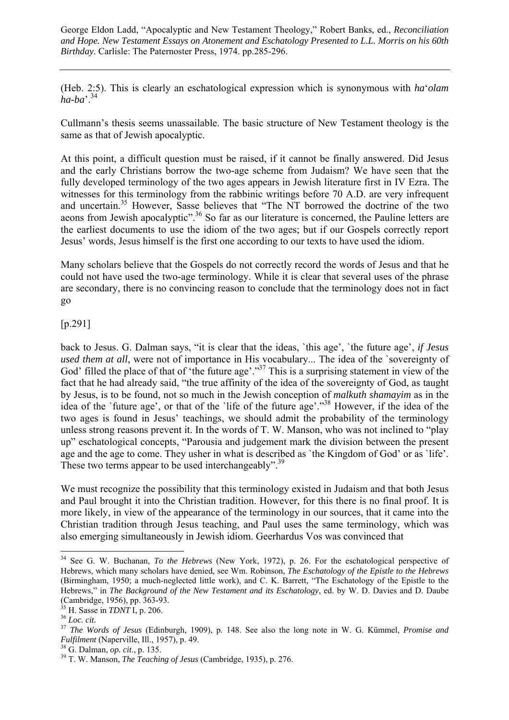(Heb. 2:5). This is clearly an eschatological expression which is synonymous with *ha*'*olam ha-ba*'.34

Cullmann's thesis seems unassailable. The basic structure of New Testament theology is the same as that of Jewish apocalyptic.

At this point, a difficult question must be raised, if it cannot be finally answered. Did Jesus and the early Christians borrow the two-age scheme from Judaism? We have seen that the fully developed terminology of the two ages appears in Jewish literature first in IV Ezra. The witnesses for this terminology from the rabbinic writings before 70 A.D. are very infrequent and uncertain.35 However, Sasse believes that "The NT borrowed the doctrine of the two aeons from Jewish apocalyptic".<sup>36</sup> So far as our literature is concerned, the Pauline letters are the earliest documents to use the idiom of the two ages; but if our Gospels correctly report Jesus' words, Jesus himself is the first one according to our texts to have used the idiom.

Many scholars believe that the Gospels do not correctly record the words of Jesus and that he could not have used the two-age terminology. While it is clear that several uses of the phrase are secondary, there is no convincing reason to conclude that the terminology does not in fact go

[p.291]

back to Jesus. G. Dalman says, "it is clear that the ideas, `this age', `the future age', *if Jesus used them at all*, were not of importance in His vocabulary... The idea of the `sovereignty of God' filled the place of that of 'the future age'."<sup>37</sup> This is a surprising statement in view of the fact that he had already said, "the true affinity of the idea of the sovereignty of God, as taught by Jesus, is to be found, not so much in the Jewish conception of *malkuth shamayim* as in the idea of the `future age', or that of the `life of the future age'."38 However, if the idea of the two ages is found in Jesus' teachings, we should admit the probability of the terminology unless strong reasons prevent it. In the words of T. W. Manson, who was not inclined to "play up" eschatological concepts, "Parousia and judgement mark the division between the present age and the age to come. They usher in what is described as `the Kingdom of God' or as `life'. These two terms appear to be used interchangeably".<sup>39</sup>

We must recognize the possibility that this terminology existed in Judaism and that both Jesus and Paul brought it into the Christian tradition. However, for this there is no final proof. It is more likely, in view of the appearance of the terminology in our sources, that it came into the Christian tradition through Jesus teaching, and Paul uses the same terminology, which was also emerging simultaneously in Jewish idiom. Geerhardus Vos was convinced that

<sup>34</sup> See G. W. Buchanan, *To the Hebrews* (New York, 1972), p. 26. For the eschatological perspective of Hebrews, which many scholars have denied, see Wm. Robinson, *The Eschatology of the Epistle to the Hebrews* (Birmingham, 1950; a much-neglected little work), and C. K. Barrett, "The Eschatology of the Epistle to the Hebrews," in *The Background of the New Testament and its Eschatology*, ed. by W. D. Davies and D. Daube (Cambridge, 1956), pp. 363-93.<br><sup>35</sup> H. Sasse in *TDNT* I, p. 206.

<sup>&</sup>lt;sup>36</sup> Loc. cit.<br><sup>37</sup> *The Words of Jesus* (Edinburgh, 1909), p. 148. See also the long note in W. G. Kümmel, *Promise and Fulfilment* (Naperville, Ill., 1957), p. 49.<br><sup>38</sup> G. Dalman, *op. cit.*, p. 135.<br><sup>39</sup> T. W. Manson, *The Teaching of Jesus* (Cambridge, 1935), p. 276.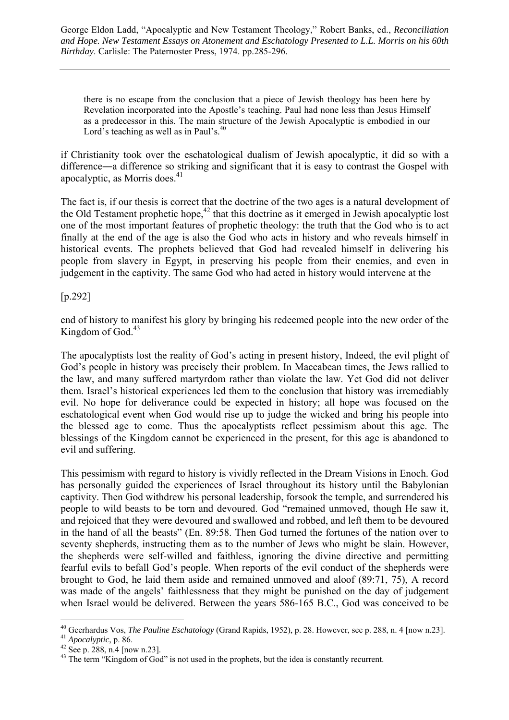there is no escape from the conclusion that a piece of Jewish theology has been here by Revelation incorporated into the Apostle's teaching. Paul had none less than Jesus Himself as a predecessor in this. The main structure of the Jewish Apocalyptic is embodied in our Lord's teaching as well as in Paul's.<sup>40</sup>

if Christianity took over the eschatological dualism of Jewish apocalyptic, it did so with a difference―a difference so striking and significant that it is easy to contrast the Gospel with apocalyptic, as Morris does. $41$ 

The fact is, if our thesis is correct that the doctrine of the two ages is a natural development of the Old Testament prophetic hope,<sup>42</sup> that this doctrine as it emerged in Jewish apocalyptic lost one of the most important features of prophetic theology: the truth that the God who is to act finally at the end of the age is also the God who acts in history and who reveals himself in historical events. The prophets believed that God had revealed himself in delivering his people from slavery in Egypt, in preserving his people from their enemies, and even in judgement in the captivity. The same God who had acted in history would intervene at the

#### [p.292]

end of history to manifest his glory by bringing his redeemed people into the new order of the Kingdom of God. $43$ 

The apocalyptists lost the reality of God's acting in present history, Indeed, the evil plight of God's people in history was precisely their problem. In Maccabean times, the Jews rallied to the law, and many suffered martyrdom rather than violate the law. Yet God did not deliver them. Israel's historical experiences led them to the conclusion that history was irremediably evil. No hope for deliverance could be expected in history; all hope was focused on the eschatological event when God would rise up to judge the wicked and bring his people into the blessed age to come. Thus the apocalyptists reflect pessimism about this age. The blessings of the Kingdom cannot be experienced in the present, for this age is abandoned to evil and suffering.

This pessimism with regard to history is vividly reflected in the Dream Visions in Enoch. God has personally guided the experiences of Israel throughout its history until the Babylonian captivity. Then God withdrew his personal leadership, forsook the temple, and surrendered his people to wild beasts to be torn and devoured. God "remained unmoved, though He saw it, and rejoiced that they were devoured and swallowed and robbed, and left them to be devoured in the hand of all the beasts" (En. 89:58. Then God turned the fortunes of the nation over to seventy shepherds, instructing them as to the number of Jews who might be slain. However, the shepherds were self-willed and faithless, ignoring the divine directive and permitting fearful evils to befall God's people. When reports of the evil conduct of the shepherds were brought to God, he laid them aside and remained unmoved and aloof (89:71, 75), A record was made of the angels' faithlessness that they might be punished on the day of judgement when Israel would be delivered. Between the years 586-165 B.C., God was conceived to be

 $\overline{a}$ <sup>40</sup> Geerhardus Vos, *The Pauline Eschatology* (Grand Rapids, 1952), p. 28. However, see p. 288, n. 4 [now n.23].<br><sup>41</sup> *Apocalyptic*, p. 86. <sup>42</sup> See p. 288, n.4 [now n.23].

<sup>&</sup>lt;sup>43</sup> The term "Kingdom of God" is not used in the prophets, but the idea is constantly recurrent.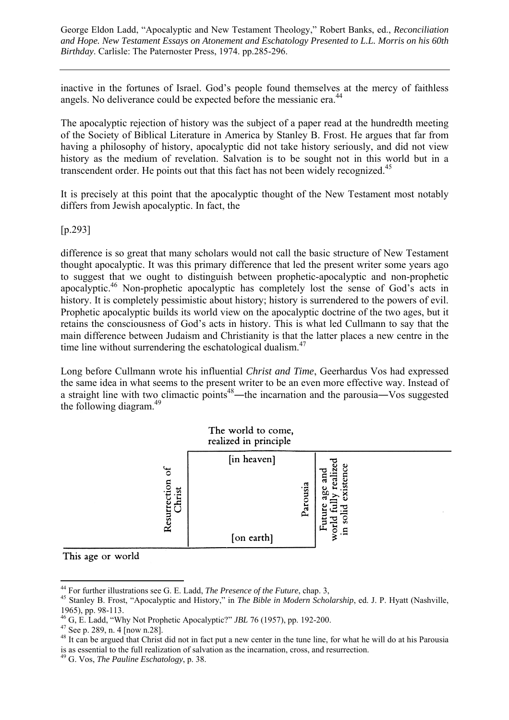inactive in the fortunes of Israel. God's people found themselves at the mercy of faithless angels. No deliverance could be expected before the messianic era.<sup>44</sup>

The apocalyptic rejection of history was the subject of a paper read at the hundredth meeting of the Society of Biblical Literature in America by Stanley B. Frost. He argues that far from having a philosophy of history, apocalyptic did not take history seriously, and did not view history as the medium of revelation. Salvation is to be sought not in this world but in a transcendent order. He points out that this fact has not been widely recognized.<sup>45</sup>

It is precisely at this point that the apocalyptic thought of the New Testament most notably differs from Jewish apocalyptic. In fact, the

[p.293]

difference is so great that many scholars would not call the basic structure of New Testament thought apocalyptic. It was this primary difference that led the present writer some years ago to suggest that we ought to distinguish between prophetic-apocalyptic and non-prophetic apocalyptic.46 Non-prophetic apocalyptic has completely lost the sense of God's acts in history. It is completely pessimistic about history; history is surrendered to the powers of evil. Prophetic apocalyptic builds its world view on the apocalyptic doctrine of the two ages, but it retains the consciousness of God's acts in history. This is what led Cullmann to say that the main difference between Judaism and Christianity is that the latter places a new centre in the time line without surrendering the eschatological dualism.<sup>47</sup>

Long before Cullmann wrote his influential *Christ and Time*, Geerhardus Vos had expressed the same idea in what seems to the present writer to be an even more effective way. Instead of a straight line with two climactic points<sup>48</sup>—the incarnation and the parousia—Vos suggested the following diagram.<sup>49</sup>



 $\overline{a}$ 

<sup>44</sup> For further illustrations see G. E. Ladd, *The Presence of the Future*, chap. 3, 45 Stanley B. Frost, "Apocalyptic and History," in *The Bible in Modern Scholarship*, ed. J. P. Hyatt (Nashville, 1965), pp. 98-113.

<sup>&</sup>lt;sup>46</sup> G, E. Ladd, "Why Not Prophetic Apocalyptic?" *JBL* 76 (1957), pp. 192-200. <sup>47</sup> See p. 289, n. 4 [now n.28].

<sup>&</sup>lt;sup>48</sup> It can be argued that Christ did not in fact put a new center in the tune line, for what he will do at his Parousia is as essential to the full realization of salvation as the incarnation, cross, and resurrection. 49 G. Vos, *The Pauline Eschatology*, p. 38.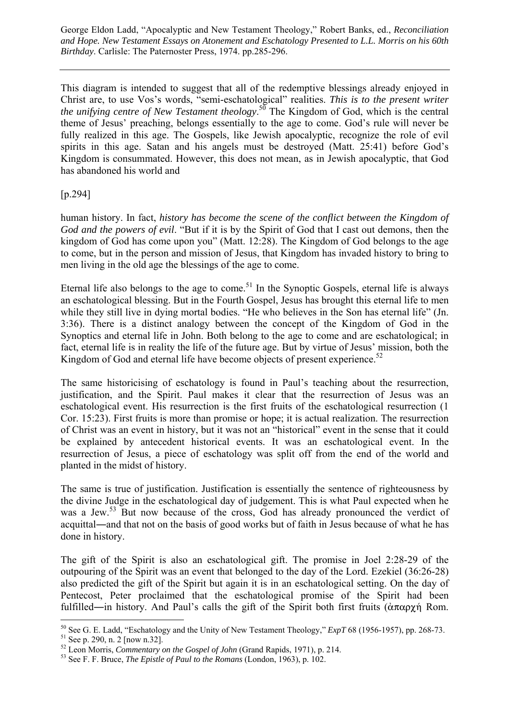This diagram is intended to suggest that all of the redemptive blessings already enjoyed in Christ are, to use Vos's words, "semi-eschatological" realities. *This is to the present writer the unifying centre of New Testament theology*. 50 The Kingdom of God, which is the central theme of Jesus' preaching, belongs essentially to the age to come. God's rule will never be fully realized in this age. The Gospels, like Jewish apocalyptic, recognize the role of evil spirits in this age. Satan and his angels must be destroyed (Matt. 25:41) before God's Kingdom is consummated. However, this does not mean, as in Jewish apocalyptic, that God has abandoned his world and

[p.294]

human history. In fact, *history has become the scene of the conflict between the Kingdom of God and the powers of evil*. "But if it is by the Spirit of God that I cast out demons, then the kingdom of God has come upon you" (Matt. 12:28). The Kingdom of God belongs to the age to come, but in the person and mission of Jesus, that Kingdom has invaded history to bring to men living in the old age the blessings of the age to come.

Eternal life also belongs to the age to come.<sup>51</sup> In the Synoptic Gospels, eternal life is always an eschatological blessing. But in the Fourth Gospel, Jesus has brought this eternal life to men while they still live in dying mortal bodies. "He who believes in the Son has eternal life" (Jn. 3:36). There is a distinct analogy between the concept of the Kingdom of God in the Synoptics and eternal life in John. Both belong to the age to come and are eschatological; in fact, eternal life is in reality the life of the future age. But by virtue of Jesus' mission, both the Kingdom of God and eternal life have become objects of present experience.<sup>52</sup>

The same historicising of eschatology is found in Paul's teaching about the resurrection, justification, and the Spirit. Paul makes it clear that the resurrection of Jesus was an eschatological event. His resurrection is the first fruits of the eschatological resurrection (1 Cor. 15:23). First fruits is more than promise or hope; it is actual realization. The resurrection of Christ was an event in history, but it was not an "historical" event in the sense that it could be explained by antecedent historical events. It was an eschatological event. In the resurrection of Jesus, a piece of eschatology was split off from the end of the world and planted in the midst of history.

The same is true of justification. Justification is essentially the sentence of righteousness by the divine Judge in the eschatological day of judgement. This is what Paul expected when he was a Jew.<sup>53</sup> But now because of the cross, God has already pronounced the verdict of acquittal―and that not on the basis of good works but of faith in Jesus because of what he has done in history.

The gift of the Spirit is also an eschatological gift. The promise in Joel 2:28-29 of the outpouring of the Spirit was an event that belonged to the day of the Lord. Ezekiel (36:26-28) also predicted the gift of the Spirit but again it is in an eschatological setting. On the day of Pentecost, Peter proclaimed that the eschatological promise of the Spirit had been fulfilled—in history. And Paul's calls the gift of the Spirit both first fruits ( $\alpha \pi \alpha \rho \gamma \gamma$ ) Rom.

<sup>&</sup>lt;sup>50</sup> See G. E. Ladd, "Eschatology and the Unity of New Testament Theology," *ExpT* 68 (1956-1957), pp. 268-73.<br><sup>51</sup> See p. 290, n. 2 [now n.32].<br><sup>52</sup> Leon Morris, *Commentary on the Gospel of John* (Grand Rapids, 1971), p

<sup>&</sup>lt;sup>53</sup> See F. F. Bruce, *The Epistle of Paul to the Romans* (London, 1963), p. 102.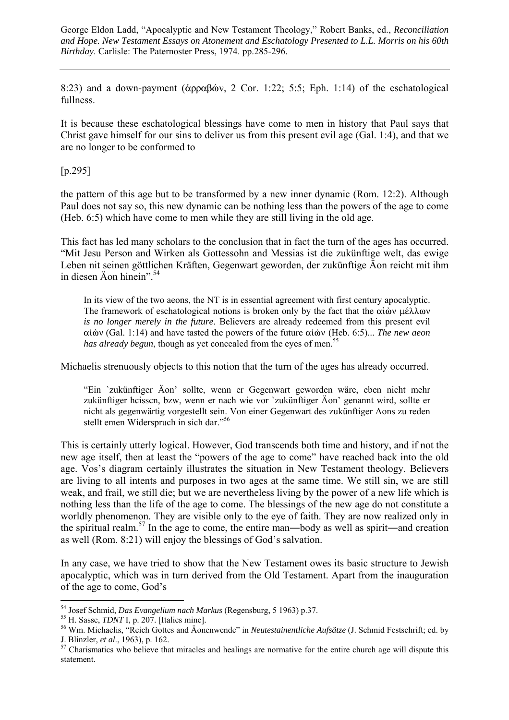8:23) and a down-payment ( $\alpha$ pp $\alpha\beta\omega$ , 2 Cor. 1:22; 5:5; Eph. 1:14) of the eschatological fullness.

It is because these eschatological blessings have come to men in history that Paul says that Christ gave himself for our sins to deliver us from this present evil age (Gal. 1:4), and that we are no longer to be conformed to

[p.295]

the pattern of this age but to be transformed by a new inner dynamic (Rom. 12:2). Although Paul does not say so, this new dynamic can be nothing less than the powers of the age to come (Heb. 6:5) which have come to men while they are still living in the old age.

This fact has led many scholars to the conclusion that in fact the turn of the ages has occurred. "Mit Jesu Person and Wirken als Gottessohn and Messias ist die zukünftige welt, das ewige Leben nit seinen göttlichen Kräften, Gegenwart geworden, der zukünftige Äon reicht mit ihm in diesen Äon hinein".54

In its view of the two aeons, the NT is in essential agreement with first century apocalyptic. The framework of eschatological notions is broken only by the fact that the  $\alpha\hat{\omega}\alpha\mu\hat{\epsilon}\lambda\hat{\omega}\nu$ *is no longer merely in the future*. Believers are already redeemed from this present evil  $\alpha$  idov (Gal. 1:14) and have tasted the powers of the future  $\alpha$  idov (Heb. 6:5)... *The new aeon has already begun*, though as yet concealed from the eyes of men.<sup>55</sup>

Michaelis strenuously objects to this notion that the turn of the ages has already occurred.

"Ein `zukünftiger Äon' sollte, wenn er Gegenwart geworden wäre, eben nicht mehr zukünftiger hcisscn, bzw, wenn er nach wie vor `zukünftiger Äon' genannt wird, sollte er nicht als gegenwärtig vorgestellt sein. Von einer Gegenwart des zukünftiger Aons zu reden stellt emen Widerspruch in sich dar."<sup>56</sup>

This is certainly utterly logical. However, God transcends both time and history, and if not the new age itself, then at least the "powers of the age to come" have reached back into the old age. Vos's diagram certainly illustrates the situation in New Testament theology. Believers are living to all intents and purposes in two ages at the same time. We still sin, we are still weak, and frail, we still die; but we are nevertheless living by the power of a new life which is nothing less than the life of the age to come. The blessings of the new age do not constitute a worldly phenomenon. They are visible only to the eye of faith. They are now realized only in the spiritual realm.<sup>57</sup> In the age to come, the entire man—body as well as spirit—and creation as well (Rom. 8:21) will enjoy the blessings of God's salvation.

In any case, we have tried to show that the New Testament owes its basic structure to Jewish apocalyptic, which was in turn derived from the Old Testament. Apart from the inauguration of the age to come, God's

<sup>&</sup>lt;sup>54</sup> Josef Schmid, *Das Evangelium nach Markus* (Regensburg, 5 1963) p.37.<br><sup>55</sup> H. Sasse, *TDNT* I, p. 207. [Italics mine].<br><sup>56</sup> Wm. Michaelis, "Reich Gottes and Äonenwende" in *Neutestainentliche Aufsätze* (J. Schmid Fes

J. Blinzler, *et al*., 1963), p. 162. 57 Charismatics who believe that miracles and healings are normative for the entire church age will dispute this statement.